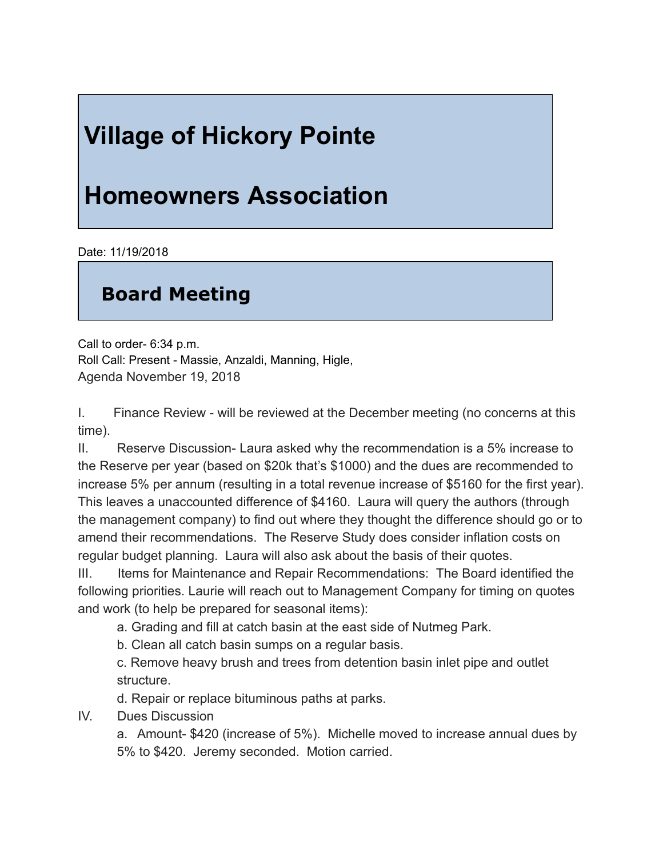## **Village of Hickory Pointe**

## **Homeowners Association**

Date: 11/19/2018

## **Board Meeting**

Call to order- $6:34$  p.m. Roll Call: Present - Massie, Anzaldi, Manning, Higle, Agenda November 19, 2018

I. Finance Review - will be reviewed at the December meeting (no concerns at this time).

II. Reserve Discussion-Laura asked why the recommendation is a 5% increase to the Reserve per year (based on \$20k that's \$1000) and the dues are recommended to increase 5% per annum (resulting in a total revenue increase of \$5160 for the first year). This leaves a unaccounted difference of \$4160. Laura will query the authors (through the management company) to find out where they thought the difference should go or to amend their recommendations. The Reserve Study does consider inflation costs on regular budget planning. Laura will also ask about the basis of their quotes.

III. Items for Maintenance and Repair Recommendations: The Board identified the following priorities. Laurie will reach out to Management Company for timing on quotes and work (to help be prepared for seasonal items):

a. Grading and fill at catch basin at the east side of Nutmeg Park.

b. Clean all catch basin sumps on a regular basis.

c. Remove heavy brush and trees from detention basin inlet pipe and outlet structure.

d. Repair or replace bituminous paths at parks.

IV. Dues Discussion

a. Amount-\$420 (increase of 5%). Michelle moved to increase annual dues by 5% to \$420. Jeremy seconded. Motion carried.